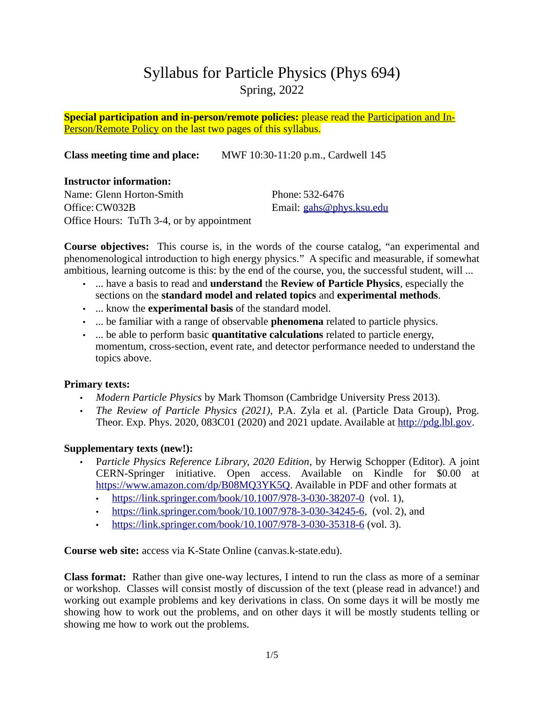# Syllabus for Particle Physics (Phys 694) Spring, 2022

**Special participation and in-person/remote policies:** please read the [Participation and In-](#page-3-0)[Person/Remote Policy](#page-3-0) on the last two pages of this syllabus.

**Class meeting time and place:** MWF 10:30-11:20 p.m., Cardwell 145

## **Instructor information:**

Name: Glenn Horton-Smith Office:CW032B Office Hours: TuTh 3-4, or by appointment Phone: 532-6476 Email: [gahs@phys.ksu.edu](mailto:gahs@phys.ksu.edu)

**Course objectives:** This course is, in the words of the course catalog, "an experimental and phenomenological introduction to high energy physics." A specific and measurable, if somewhat ambitious, learning outcome is this: by the end of the course, you, the successful student, will ...

- ... have a basis to read and **understand** the **Review of Particle Physics**, especially the sections on the **standard model and related topics** and **experimental methods**.
- ... know the **experimental basis** of the standard model.
- ... be familiar with a range of observable **phenomena** related to particle physics.
- ... be able to perform basic **quantitative calculations** related to particle energy, momentum, cross-section, event rate, and detector performance needed to understand the topics above.

## **Primary texts:**

- *Modern Particle Physics* by Mark Thomson (Cambridge University Press 2013).
- *The Review of Particle Physics (2021),* P.A. Zyla et al. (Particle Data Group), Prog. Theor. Exp. Phys. 2020, 083C01 (2020) and 2021 update. Available at [http://pdg.lbl.gov](http://pdg.lbl.gov/).

# **Supplementary texts (new!):**

- P*article Physics Reference Library, 2020 Edition*, by Herwig Schopper (Editor). A joint CERN-Springer initiative. Open access. Available on Kindle for \$0.00 at [https://www.amazon.com/dp/B08MQ3YK5Q.](https://www.amazon.com/dp/B08MQ3YK5Q) Available in PDF and other formats at
	- •<https://link.springer.com/book/10.1007/978-3-030-38207-0> (vol. 1),
	- <https://link.springer.com/book/10.1007/978-3-030-34245-6>, (vol. 2), and
	- <https://link.springer.com/book/10.1007/978-3-030-35318-6> (vol. 3).

**Course web site:** access via K-State Online (canvas.k-state.edu).

**Class format:** Rather than give one-way lectures, I intend to run the class as more of a seminar or workshop. Classes will consist mostly of discussion of the text (please read in advance!) and working out example problems and key derivations in class. On some days it will be mostly me showing how to work out the problems, and on other days it will be mostly students telling or showing me how to work out the problems.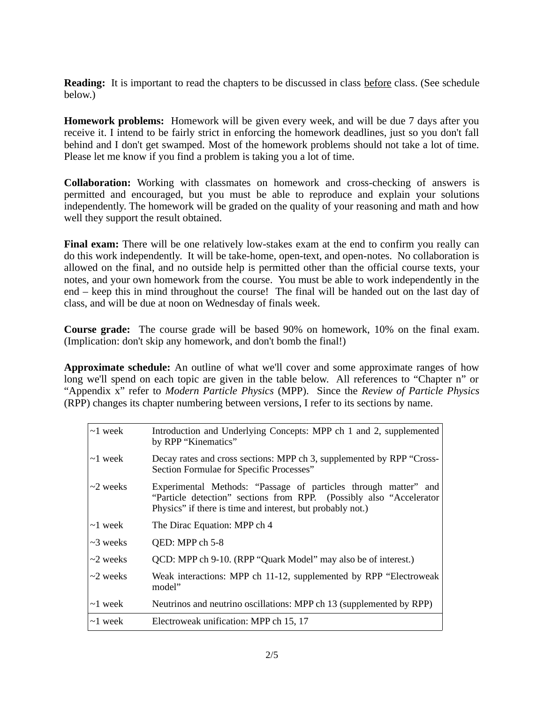**Reading:** It is important to read the chapters to be discussed in class before class. (See schedule below.)

**Homework problems:** Homework will be given every week, and will be due 7 days after you receive it. I intend to be fairly strict in enforcing the homework deadlines, just so you don't fall behind and I don't get swamped. Most of the homework problems should not take a lot of time. Please let me know if you find a problem is taking you a lot of time.

**Collaboration:** Working with classmates on homework and cross-checking of answers is permitted and encouraged, but you must be able to reproduce and explain your solutions independently. The homework will be graded on the quality of your reasoning and math and how well they support the result obtained.

Final exam: There will be one relatively low-stakes exam at the end to confirm you really can do this work independently. It will be take-home, open-text, and open-notes. No collaboration is allowed on the final, and no outside help is permitted other than the official course texts, your notes, and your own homework from the course. You must be able to work independently in the end – keep this in mind throughout the course! The final will be handed out on the last day of class, and will be due at noon on Wednesday of finals week.

**Course grade:** The course grade will be based 90% on homework, 10% on the final exam. (Implication: don't skip any homework, and don't bomb the final!)

**Approximate schedule:** An outline of what we'll cover and some approximate ranges of how long we'll spend on each topic are given in the table below. All references to "Chapter n" or "Appendix x" refer to *Modern Particle Physics* (MPP). Since the *Review of Particle Physics* (RPP) changes its chapter numbering between versions, I refer to its sections by name.

| $\sim\!\!1$ week      | Introduction and Underlying Concepts: MPP ch 1 and 2, supplemented<br>by RPP "Kinematics"                                                                                                             |
|-----------------------|-------------------------------------------------------------------------------------------------------------------------------------------------------------------------------------------------------|
| ∣∼1 week-             | Decay rates and cross sections: MPP ch 3, supplemented by RPP "Cross-<br>Section Formulae for Specific Processes"                                                                                     |
| $\sim$ 2 weeks        | Experimental Methods: "Passage of particles through matter" and<br>"Particle detection" sections from RPP. (Possibly also "Accelerator"<br>Physics" if there is time and interest, but probably not.) |
| $\sim\!\!1$ week      | The Dirac Equation: MPP ch 4                                                                                                                                                                          |
| $\sim$ 3 weeks        | QED: MPP ch 5-8                                                                                                                                                                                       |
| ∣∼2 weeks             | QCD: MPP ch 9-10. (RPP "Quark Model" may also be of interest.)                                                                                                                                        |
| ∣∼2 weeks             | Weak interactions: MPP ch 11-12, supplemented by RPP "Electroweak<br>model"                                                                                                                           |
| $\sim\!\!1$ week $\,$ | Neutrinos and neutrino oscillations: MPP ch 13 (supplemented by RPP)                                                                                                                                  |
| $\sim\!\!1$ week $\,$ | Electroweak unification: MPP ch 15, 17                                                                                                                                                                |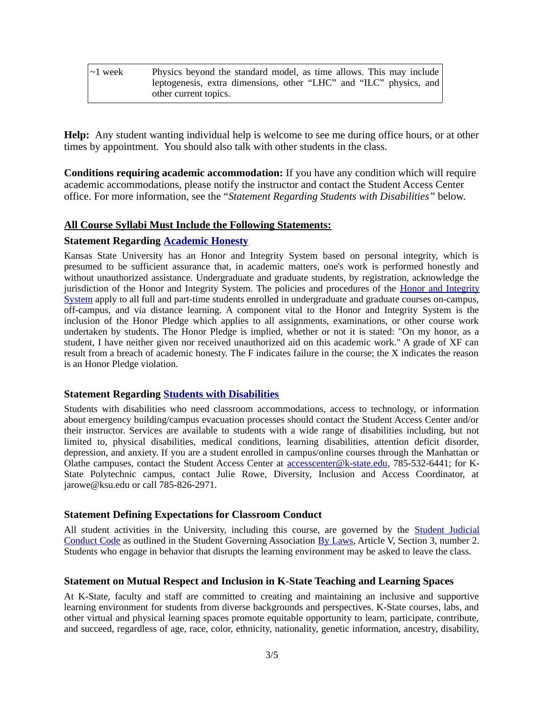| $\sim$ 1 week | Physics beyond the standard model, as time allows. This may include |
|---------------|---------------------------------------------------------------------|
|               | leptogenesis, extra dimensions, other "LHC" and "ILC" physics, and  |
|               | other current topics.                                               |

**Help:** Any student wanting individual help is welcome to see me during office hours, or at other times by appointment. You should also talk with other students in the class.

**Conditions requiring academic accommodation:** If you have any condition which will require academic accommodations, please notify the instructor and contact the Student Access Center office. For more information, see the "*Statement Regarding Students with Disabilities"* below.

#### **All Course Syllabi Must Include the Following Statements:**

#### **Statement Regarding [Academic Honesty](https://www.k-state.edu/honor/faculty-tips/syllabus.html)**

Kansas State University has an Honor and Integrity System based on personal integrity, which is presumed to be sufficient assurance that, in academic matters, one's work is performed honestly and without unauthorized assistance. Undergraduate and graduate students, by registration, acknowledge the jurisdiction of the Honor and Integrity System. The policies and procedures of the [Honor and Integrity](https://www.k-state.edu/honor/) [System](https://www.k-state.edu/honor/) apply to all full and part-time students enrolled in undergraduate and graduate courses on-campus, off-campus, and via distance learning. A component vital to the Honor and Integrity System is the inclusion of the Honor Pledge which applies to all assignments, examinations, or other course work undertaken by students. The Honor Pledge is implied, whether or not it is stated: "On my honor, as a student, I have neither given nor received unauthorized aid on this academic work." A grade of XF can result from a breach of academic honesty. The F indicates failure in the course; the X indicates the reason is an Honor Pledge violation.

#### **Statement Regarding [Students with Disabilities](https://www.k-state.edu/accesscenter)**

Students with disabilities who need classroom accommodations, access to technology, or information about emergency building/campus evacuation processes should contact the Student Access Center and/or their instructor. Services are available to students with a wide range of disabilities including, but not limited to, physical disabilities, medical conditions, learning disabilities, attention deficit disorder, depression, and anxiety. If you are a student enrolled in campus/online courses through the Manhattan or Olathe campuses, contact the Student Access Center at [accesscenter@k-state.edu](mailto:accesscenter@k-state.edu?subject=Student%20Accommodation), 785-532-6441; for K-State Polytechnic campus, contact Julie Rowe, Diversity, Inclusion and Access Coordinator, at jarowe@ksu.edu or call 785-826-2971.

#### **Statement Defining Expectations for Classroom Conduct**

All student activities in the University, including this course, are governed by the [Student Judicial](https://www.k-state.edu/sga/judicial/) [Conduct Code](https://www.k-state.edu/sga/judicial/) as outlined in the Student Governing Association [By Laws,](https://www.k-state.edu/sga/old_files/sgadocs/ByLaws.pdf) Article V, Section 3, number 2. Students who engage in behavior that disrupts the learning environment may be asked to leave the class.

#### **Statement on Mutual Respect and Inclusion in K-State Teaching and Learning Spaces**

At K-State, faculty and staff are committed to creating and maintaining an inclusive and supportive learning environment for students from diverse backgrounds and perspectives. K-State courses, labs, and other virtual and physical learning spaces promote equitable opportunity to learn, participate, contribute, and succeed, regardless of age, race, color, ethnicity, nationality, genetic information, ancestry, disability,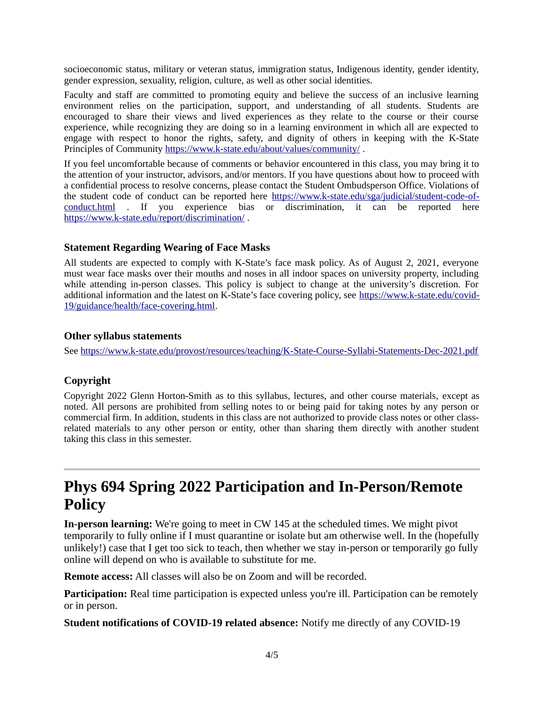socioeconomic status, military or veteran status, immigration status, Indigenous identity, gender identity, gender expression, sexuality, religion, culture, as well as other social identities.

Faculty and staff are committed to promoting equity and believe the success of an inclusive learning environment relies on the participation, support, and understanding of all students. Students are encouraged to share their views and lived experiences as they relate to the course or their course experience, while recognizing they are doing so in a learning environment in which all are expected to engage with respect to honor the rights, safety, and dignity of others in keeping with the K-State Principles of Community<https://www.k-state.edu/about/values/community/>.

If you feel uncomfortable because of comments or behavior encountered in this class, you may bring it to the attention of your instructor, advisors, and/or mentors. If you have questions about how to proceed with a confidential process to resolve concerns, please contact the Student Ombudsperson Office. Violations of the student code of conduct can be reported here [https://www.k-state.edu/sga/judicial/student-code-of](https://www.k-state.edu/sga/judicial/student-code-of-conduct.html)[conduct.html](https://www.k-state.edu/sga/judicial/student-code-of-conduct.html) . If you experience bias or discrimination, it can be reported here <https://www.k-state.edu/report/discrimination/>.

#### **Statement Regarding Wearing of Face Masks**

All students are expected to comply with K-State's face mask policy. As of August 2, 2021, everyone must wear face masks over their mouths and noses in all indoor spaces on university property, including while attending in-person classes. This policy is subject to change at the university's discretion. For additional information and the latest on K-State's face covering policy, see [https://www.k-state.edu/covid-](https://www.k-state.edu/covid-19/guidance/health/face-covering.html)[19/guidance/health/face-covering.html](https://www.k-state.edu/covid-19/guidance/health/face-covering.html).

#### **Other syllabus statements**

See <https://www.k-state.edu/provost/resources/teaching/K-State-Course-Syllabi-Statements-Dec-2021.pdf>

## **Copyright**

Copyright 2022 Glenn Horton-Smith as to this syllabus, lectures, and other course materials, except as noted. All persons are prohibited from selling notes to or being paid for taking notes by any person or commercial firm. In addition, students in this class are not authorized to provide class notes or other classrelated materials to any other person or entity, other than sharing them directly with another student taking this class in this semester.

# <span id="page-3-0"></span>**Phys 694 Spring 2022 Participation and In-Person/Remote Policy**

**In-person learning:** We're going to meet in CW 145 at the scheduled times. We might pivot temporarily to fully online if I must quarantine or isolate but am otherwise well. In the (hopefully unlikely!) case that I get too sick to teach, then whether we stay in-person or temporarily go fully online will depend on who is available to substitute for me.

**Remote access:** All classes will also be on Zoom and will be recorded.

**Participation:** Real time participation is expected unless you're ill. Participation can be remotely or in person.

**Student notifications of COVID-19 related absence:** Notify me directly of any COVID-19